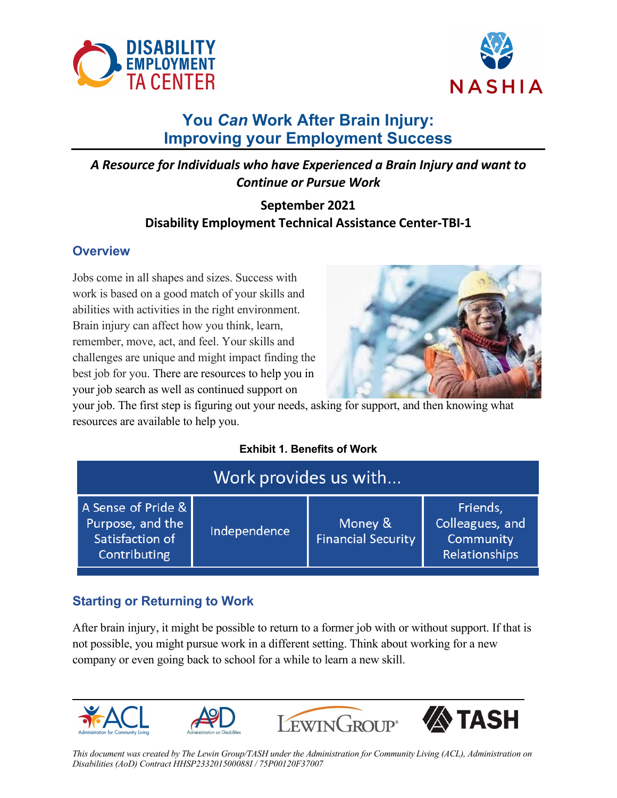



# **You** *Can* **Work After Brain Injury: Improving your Employment Success**

*A Resource for Individuals who have Experienced a Brain Injury and want to Continue or Pursue Work*

## **September 2021 Disability Employment Technical Assistance Center-TBI-1**

### **Overview**

Jobs come in all shapes and sizes. Success with work is based on a good match of your skills and abilities with activities in the right environment. Brain injury can affect how you think, learn, remember, move, act, and feel. Your skills and challenges are unique and might impact finding the best job for you. There are resources to help you in your job search as well as continued support on



your job. The first step is figuring out your needs, asking for support, and then knowing what resources are available to help you.

### **Exhibit 1. Benefits of Work**

|                                                                           | Work provides us with |                                      |                                                           |  |  |
|---------------------------------------------------------------------------|-----------------------|--------------------------------------|-----------------------------------------------------------|--|--|
| A Sense of Pride &<br>Purpose, and the<br>Satisfaction of<br>Contributing | Independence          | Money &<br><b>Financial Security</b> | Friends,<br>Colleagues, and<br>Community<br>Relationships |  |  |

### **Starting or Returning to Work**

After brain injury, it might be possible to return to a former job with or without support. If that is not possible, you might pursue work in a different setting. Think about working for a new company or even going back to school for a while to learn a new skill.



*This document was created by The Lewin Group/TASH under the Administration for Community Living (ACL), Administration on Disabilities (AoD) Contract HHSP233201500088I / 75P00120F37007*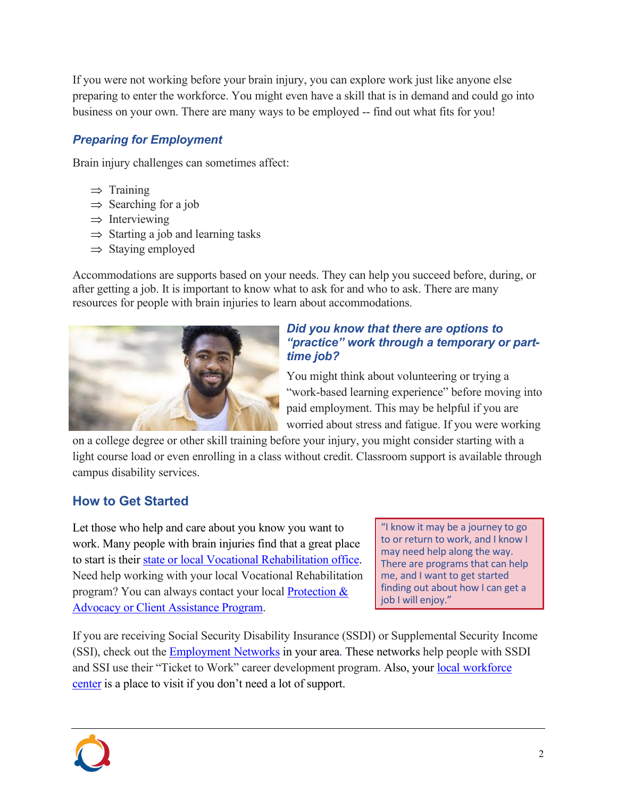If you were not working before your brain injury, you can explore work just like anyone else preparing to enter the workforce. You might even have a skill that is in demand and could go into business on your own. There are many ways to be employed -- find out what fits for you!

### *Preparing for Employment*

Brain injury challenges can sometimes affect:

- $\Rightarrow$  Training
- $\Rightarrow$  Searching for a job
- $\Rightarrow$  Interviewing
- $\Rightarrow$  Starting a job and learning tasks
- $\Rightarrow$  Staying employed

Accommodations are supports based on your needs. They can help you succeed before, during, or after getting a job. It is important to know what to ask for and who to ask. There are many resources for people with brain injuries to learn about accommodations.



#### *Did you know that there are options to "practice" work through a temporary or parttime job?*

You might think about volunteering or trying a "work-based learning experience" before moving into paid employment. This may be helpful if you are worried about stress and fatigue. If you were working

on a college degree or other skill training before your injury, you might consider starting with a light course load or even enrolling in a class without credit. Classroom support is available through campus disability services.

# **How to Get Started**

Let those who help and care about you know you want to work. Many people with brain injuries find that a great place to start is their [state or local Vocational Rehabilitation office](https://rsa.ed.gov/about/states). Need help working with your local Vocational Rehabilitation program? You can always contact your local [Protection &](https://www.ndrn.org/about/ndrn-member-agencies/)  [Advocacy or Client Assistance Program.](https://www.ndrn.org/about/ndrn-member-agencies/)

"I know it may be a journey to go to or return to work, and I know I may need help along the way. There are programs that can help me, and I want to get started finding out about how I can get a job I will enjoy."

If you are receiving Social Security Disability Insurance (SSDI) or Supplemental Security Income (SSI), check out the [Employment Networks](https://choosework.ssa.gov/findhelp/index.html) in your area. These networks help people with SSDI and SSI use their "Ticket to Work" career development program. Also, your local workforce [center](https://www.careeronestop.org/LocalHelp/local-help.aspx) is a place to visit if you don't need a lot of support.

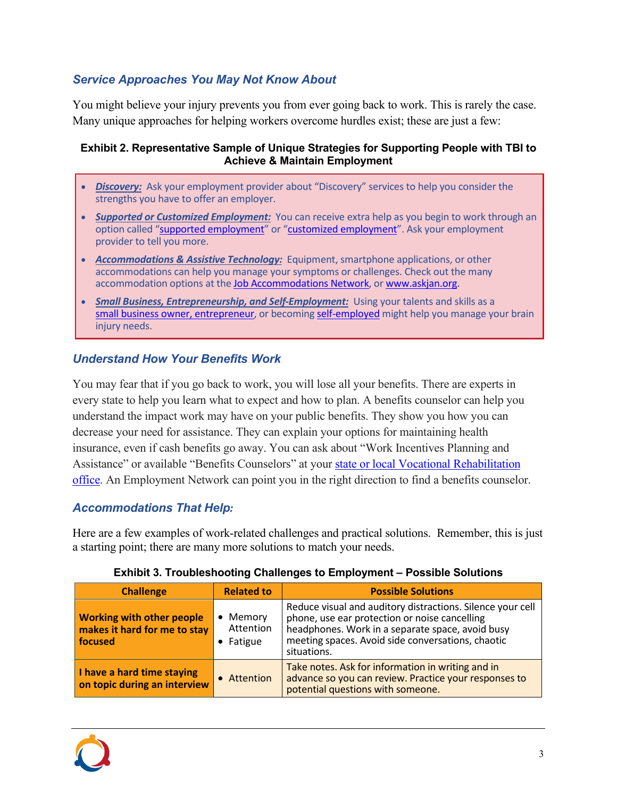### *Service Approaches You May Not Know About*

You might believe your injury prevents you from ever going back to work. This is rarely the case. Many unique approaches for helping workers overcome hurdles exist; these are just a few:

#### **Exhibit 2. Representative Sample of Unique Strategies for Supporting People with TBI to Achieve & Maintain Employment**

- **Discovery:** Ask your employment provider about "Discovery" services to help you consider the strengths you have to offer an employer.
- · *Supported or Customized Employment:* You can receive extra help as you begin to work through an option called "[supported employment](https://vcurrtc.org/research/printView.cfm/473)" or "[customized employment](https://www.dol.gov/agencies/odep/program-areas/customized-employment)". Ask your employment provider to tell you more.
- · *Accommodations & Assistive Technology:* Equipment, smartphone applications, or other accommodations can help you manage your symptoms or challenges. Check out the many accommodation options at the [Job Accommodations Network](http://www.askjan.org/), or [www.askjan.org.](http://www.askjan.org/)
- · *Small Business, Entrepreneurship, and Self-Employment:* Using your talents and skills as a [small business owner, entrepreneur](https://www.dol.gov/agencies/odep/program-areas/employers/self-employment-entrepreneurship), or becoming [self-employed](https://www.dol.gov/agencies/odep/program-areas/employers/self-employment-entrepreneurship) might help you manage your brain injury needs.

#### *Understand How Your Benefits Work*

You may fear that if you go back to work, you will lose all your benefits. There are experts in every state to help you learn what to expect and how to plan. A benefits counselor can help you understand the impact work may have on your public benefits. They show you how you can decrease your need for assistance. They can explain your options for maintaining health insurance, even if cash benefits go away. You can ask about "Work Incentives Planning and Assistance" or available "Benefits Counselors" at your state or local Vocational Rehabilitation [office](https://rsa.ed.gov/about/states). An Employment Network can point you in the right direction to find a benefits counselor.

#### *Accommodations That Help:*

Here are a few examples of work-related challenges and practical solutions. Remember, this is just a starting point; there are many more solutions to match your needs.

| <b>Challenge</b>                                                            | <b>Related to</b>                  | <b>Possible Solutions</b>                                                                                                                                                                                                           |  |
|-----------------------------------------------------------------------------|------------------------------------|-------------------------------------------------------------------------------------------------------------------------------------------------------------------------------------------------------------------------------------|--|
| <b>Working with other people</b><br>makes it hard for me to stay<br>focused | • Memory<br>Attention<br>• Fatigue | Reduce visual and auditory distractions. Silence your cell<br>phone, use ear protection or noise cancelling<br>headphones. Work in a separate space, avoid busy<br>meeting spaces. Avoid side conversations, chaotic<br>situations. |  |
| I have a hard time staying<br>on topic during an interview                  | • Attention                        | Take notes. Ask for information in writing and in<br>advance so you can review. Practice your responses to<br>potential questions with someone.                                                                                     |  |

#### **Exhibit 3. Troubleshooting Challenges to Employment – Possible Solutions**